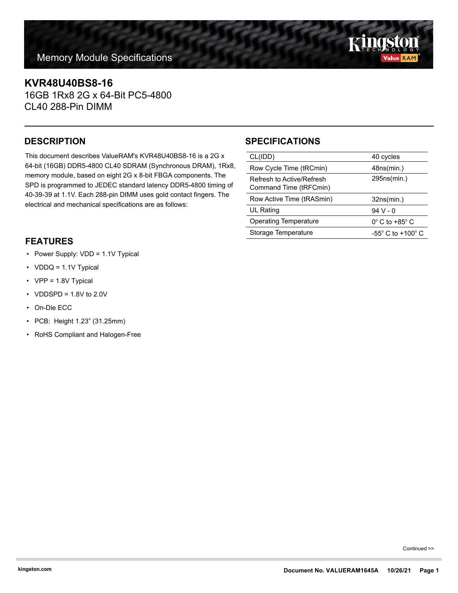## **KVR48U40BS8-16**

16GB 1Rx8 2G x 64-Bit PC5-4800 CL40 288-Pin DIMM

This document describes ValueRAM's KVR48U40BS8-16 is a 2G x 64-bit (16GB) DDR5-4800 CL40 SDRAM (Synchronous DRAM), 1Rx8, memory module, based on eight 2G x 8-bit FBGA components. The SPD is programmed to JEDEC standard latency DDR5-4800 timing of 40-39-39 at 1.1V. Each 288-pin DIMM uses gold contact fingers. The electrical and mechanical specifications are as follows:

### **FEATURES**

- Power Supply: VDD = 1.1V Typical
- VDDQ = 1.1V Typical
- VPP = 1.8V Typical
- VDDSPD =  $1.8V$  to  $2.0V$
- On-Die ECC
- PCB: Height 1.23" (31.25mm)
- RoHS Compliant and Halogen-Free

# **DESCRIPTION SPECIFICATIONS**

| CL(IDD)                                             | 40 cycles                     |
|-----------------------------------------------------|-------------------------------|
| Row Cycle Time (tRCmin)                             | 48ns(min.)                    |
| Refresh to Active/Refresh<br>Command Time (tRFCmin) | 295ns(min.)                   |
|                                                     |                               |
| Row Active Time (tRASmin)                           | 32ns(min.)                    |
| <b>UL Rating</b>                                    | 94 V - 0                      |
| <b>Operating Temperature</b>                        | $0^\circ$ C to +85 $^\circ$ C |

Continued >>